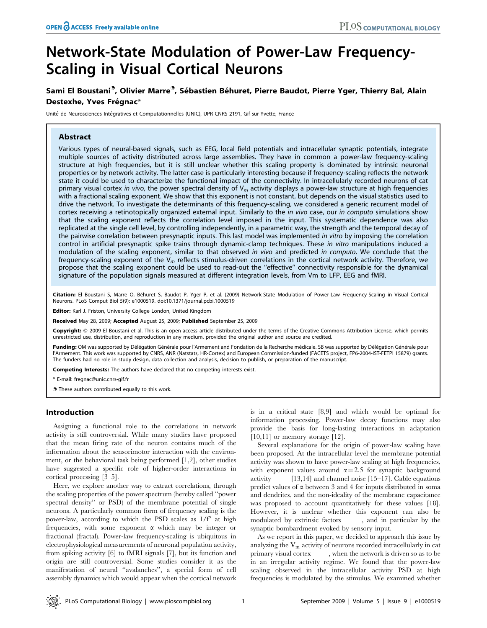# Network-State Modulation of Power-Law Frequency-Scaling in Visual Cortical Neurons

Sami El Boustani<sup>9</sup>, Olivier Marre<sup>9</sup>, Sébastien Béhuret, Pierre Baudot, Pierre Yger, Thierry Bal, Alain Destexhe, Yves Fréanac\*

Unité de Neurosciences Intégratives et Computationnelles (UNIC), UPR CNRS 2191, Gif-sur-Yvette, France

# Abstract

Various types of neural-based signals, such as EEG, local field potentials and intracellular synaptic potentials, integrate multiple sources of activity distributed across large assemblies. They have in common a power-law frequency-scaling structure at high frequencies, but it is still unclear whether this scaling property is dominated by intrinsic neuronal properties or by network activity. The latter case is particularly interesting because if frequency-scaling reflects the network state it could be used to characterize the functional impact of the connectivity. In intracellularly recorded neurons of cat primary visual cortex in vivo, the power spectral density of  $V_m$  activity displays a power-law structure at high frequencies with a fractional scaling exponent. We show that this exponent is not constant, but depends on the visual statistics used to drive the network. To investigate the determinants of this frequency-scaling, we considered a generic recurrent model of cortex receiving a retinotopically organized external input. Similarly to the in vivo case, our in computo simulations show that the scaling exponent reflects the correlation level imposed in the input. This systematic dependence was also replicated at the single cell level, by controlling independently, in a parametric way, the strength and the temporal decay of the pairwise correlation between presynaptic inputs. This last model was implemented in vitro by imposing the correlation control in artificial presynaptic spike trains through dynamic-clamp techniques. These in vitro manipulations induced a modulation of the scaling exponent, similar to that observed in vivo and predicted in computo. We conclude that the frequency-scaling exponent of the  $V_m$  reflects stimulus-driven correlations in the cortical network activity. Therefore, we propose that the scaling exponent could be used to read-out the ''effective'' connectivity responsible for the dynamical signature of the population signals measured at different integration levels, from Vm to LFP, EEG and fMRI.

Citation: El Boustani S, Marre O, Béhuret S, Baudot P, Yger P, et al. (2009) Network-State Modulation of Power-Law Frequency-Scaling in Visual Cortical Neurons. PLoS Comput Biol 5(9): e1000519. doi:10.1371/journal.pcbi.1000519

Editor: Karl J. Friston, University College London, United Kingdom

Received May 28, 2009; Accepted August 25, 2009; Published September 25, 2009

Copyright: © 2009 El Boustani et al. This is an open-access article distributed under the terms of the Creative Commons Attribution License, which permits unrestricted use, distribution, and reproduction in any medium, provided the original author and source are credited.

Funding: OM was supported by Délégation Générale pour l'Armement and Fondation de la Recherche médicale. SB was supported by Délégation Générale pour l'Armement. This work was supported by CNRS, ANR (Natstats, HR-Cortex) and European Commission-funded (FACETS project, FP6-2004-IST-FETPI 15879) grants. The funders had no role in study design, data collection and analysis, decision to publish, or preparation of the manuscript.

Competing Interests: The authors have declared that no competing interests exist.

\* E-mail: fregnac@unic.cnrs-gif.fr

**.** These authors contributed equally to this work.

# Introduction

Assigning a functional role to the correlations in network activity is still controversial. While many studies have proposed that the mean firing rate of the neuron contains much of the information about the sensorimotor interaction with the environment, or the behavioral task being performed [1,2], other studies have suggested a specific role of higher-order interactions in cortical processing [3–5].

Here, we explore another way to extract correlations, through the scaling properties of the power spectrum (hereby called ''power spectral density'' or PSD) of the membrane potential of single neurons. A particularly common form of frequency scaling is the power-law, according to which the PSD scales as  $1/f^{\alpha}$  at high frequencies, with some exponent  $\alpha$  which may be integer or fractional (fractal). Power-law frequency-scaling is ubiquitous in electrophysiological measurements of neuronal population activity, from spiking activity [6] to fMRI signals [7], but its function and origin are still controversial. Some studies consider it as the manifestation of neural ''avalanches'', a special form of cell assembly dynamics which would appear when the cortical network is in a critical state [8,9] and which would be optimal for information processing. Power-law decay functions may also provide the basis for long-lasting interactions in adaptation  $[10,11]$  or memory storage  $[12]$ .

Several explanations for the origin of power-law scaling have been proposed. At the intracellular level the membrane potential activity was shown to have power-law scaling at high frequencies, with exponent values around  $\alpha=2.5$  for synaptic background activity  $[13,14]$  and channel noise  $[15–17]$ . Cable equations predict values of  $\alpha$  between 3 and 4 for inputs distributed in soma and dendrites, and the non-ideality of the membrane capacitance was proposed to account quantitatively for these values [18]. However, it is unclear whether this exponent can also be modulated by extrinsic factors  $\qquad$ , and in particular by the synaptic bombardment evoked by sensory input.

As we report in this paper, we decided to approach this issue by analyzing the  $V_m$  activity of neurons recorded intracellularly in cat primary visual cortex , when the network is driven so as to be in an irregular activity regime. We found that the power-law scaling observed in the intracellular activity PSD at high frequencies is modulated by the stimulus. We examined whether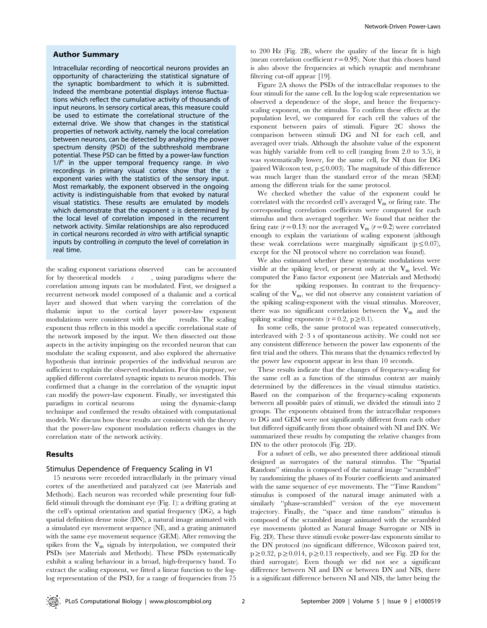## Author Summary

Intracellular recording of neocortical neurons provides an opportunity of characterizing the statistical signature of the synaptic bombardment to which it is submitted. Indeed the membrane potential displays intense fluctuations which reflect the cumulative activity of thousands of input neurons. In sensory cortical areas, this measure could be used to estimate the correlational structure of the external drive. We show that changes in the statistical properties of network activity, namely the local correlation between neurons, can be detected by analyzing the power spectrum density (PSD) of the subthreshold membrane potential. These PSD can be fitted by a power-law function  $1/f^{\prime}$  in the upper temporal frequency range. In vivo recordings in primary visual cortex show that the  $\alpha$ exponent varies with the statistics of the sensory input. Most remarkably, the exponent observed in the ongoing activity is indistinguishable from that evoked by natural visual statistics. These results are emulated by models which demonstrate that the exponent  $\alpha$  is determined by the local level of correlation imposed in the recurrent network activity. Similar relationships are also reproduced in cortical neurons recorded in vitro with artificial synaptic inputs by controlling in computo the level of correlation in real time.

the scaling exponent variations observed can be accounted for by theoretical models  $\epsilon$ , using paradigms where the correlation among inputs can be modulated. First, we designed a recurrent network model composed of a thalamic and a cortical layer and showed that when varying the correlation of the thalamic input to the cortical layer power-law exponent modulations were consistent with the results. The scaling exponent thus reflects in this model a specific correlational state of the network imposed by the input. We then dissected out those aspects in the activity impinging on the recorded neuron that can modulate the scaling exponent, and also explored the alternative hypothesis that intrinsic properties of the individual neuron are sufficient to explain the observed modulation. For this purpose, we applied different correlated synaptic inputs to neuron models. This confirmed that a change in the correlation of the synaptic input can modify the power-law exponent. Finally, we investigated this paradigm in cortical neurons using the dynamic-clamp technique and confirmed the results obtained with computational models. We discuss how these results are consistent with the theory that the power-law exponent modulation reflects changes in the correlation state of the network activity.

## Results

## Stimulus Dependence of Frequency Scaling in V1

15 neurons were recorded intracellularly in the primary visual cortex of the anesthetized and paralyzed cat (see Materials and Methods). Each neuron was recorded while presenting four fullfield stimuli through the dominant eye (Fig. 1): a drifting grating at the cell's optimal orientation and spatial frequency (DG), a high spatial definition dense noise (DN), a natural image animated with a simulated eye movement sequence (NI), and a grating animated with the same eye movement sequence (GEM). After removing the spikes from the  $V_m$  signals by interpolation, we computed their PSDs (see Materials and Methods). These PSDs systematically exhibit a scaling behaviour in a broad, high-frequency band. To extract the scaling exponent, we fitted a linear function to the loglog representation of the PSD, for a range of frequencies from 75

to 200 Hz (Fig. 2B), where the quality of the linear fit is high (mean correlation coefficient  $r=0.95$ ). Note that this chosen band is also above the frequencies at which synaptic and membrane filtering cut-off appear [19].

Figure 2A shows the PSDs of the intracellular responses to the four stimuli for the same cell. In the log-log scale representation we observed a dependence of the slope, and hence the frequencyscaling exponent, on the stimulus. To confirm these effects at the population level, we compared for each cell the values of the exponent between pairs of stimuli. Figure 2C shows the comparison between stimuli DG and NI for each cell, and averaged over trials. Although the absolute value of the exponent was highly variable from cell to cell (ranging from 2.0 to 3.5), it was systematically lower, for the same cell, for NI than for DG (paired Wilcoxon test,  $p \le 0.003$ ). The magnitude of this difference was much larger than the standard error of the mean (SEM) among the different trials for the same protocol.

We checked whether the value of the exponent could be correlated with the recorded cell's averaged  $V_m$  or firing rate. The corresponding correlation coefficients were computed for each stimulus and then averaged together. We found that neither the firing rate ( $r=0.13$ ) nor the averaged  $V_m$  ( $r=0.2$ ) were correlated enough to explain the variations of scaling exponent (although these weak correlations were marginally significant ( $p \le 0.07$ ), except for the NI protocol where no correlation was found).

We also estimated whether these systematic modulations were visible at the spiking level, or present only at the  $V_m$  level. We computed the Fano factor exponent (see Materials and Methods) for the spiking responses. In contrast to the frequencyscaling of the  $V_m$ , we did not observe any consistent variation of the spiking scaling-exponent with the visual stimulus. Moreover, there was no significant correlation between the  $V_m$  and the spiking scaling exponents ( $r = 0.2$ ,  $p \ge 0.1$ ).

In some cells, the same protocol was repeated consecutively, interleaved with 2–3 s of spontaneous activity. We could not see any consistent difference between the power law exponents of the first trial and the others. This means that the dynamics reflected by the power law exponent appear in less than 10 seconds.

These results indicate that the changes of frequency-scaling for the same cell as a function of the stimulus context are mainly determined by the differences in the visual stimulus statistics. Based on the comparison of the frequency-scaling exponents between all possible pairs of stimuli, we divided the stimuli into 2 groups. The exponents obtained from the intracellular responses to DG and GEM were not significantly different from each other but differed significantly from those obtained with NI and DN. We summarized these results by computing the relative changes from DN to the other protocols (Fig. 2D).

For a subset of cells, we also presented three additional stimuli designed as surrogates of the natural stimulus. The ''Spatial Random'' stimulus is composed of the natural image ''scrambled'' by randomizing the phases of its Fourier coefficients and animated with the same sequence of eye movements. The "Time Random" stimulus is composed of the natural image animated with a similarly ''phase-scrambled'' version of the eye movement trajectory. Finally, the ''space and time random'' stimulus is composed of the scrambled image animated with the scrambled eye movements (plotted as Natural Image Surrogate or NIS in Fig. 2D). These three stimuli evoke power-law exponents similar to the DN protocol (no significant difference, Wilcoxon paired test,  $p \ge 0.32$ ,  $p \ge 0.014$ ,  $p \ge 0.13$  respectively, and see Fig. 2D for the third surrogate). Even though we did not see a significant difference between NI and DN or between DN and NIS, there is a significant difference between NI and NIS, the latter being the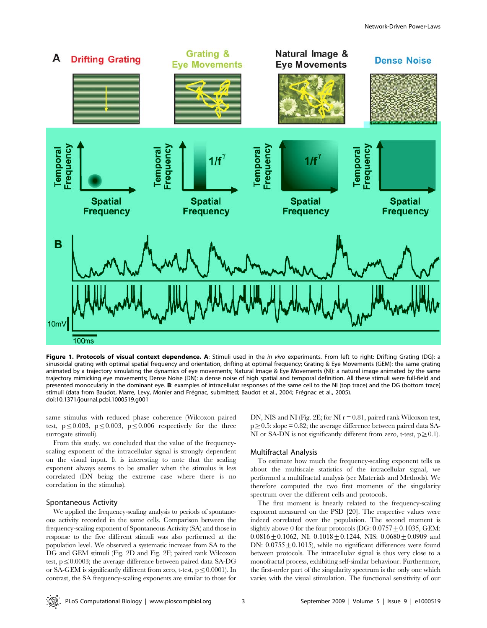

Figure 1. Protocols of visual context dependence. A: Stimuli used in the in vivo experiments. From left to right: Drifting Grating (DG): a sinusoidal grating with optimal spatial frequency and orientation, drifting at optimal frequency; Grating & Eye Movements (GEM): the same grating animated by a trajectory simulating the dynamics of eye movements; Natural Image & Eye Movements (NI): a natural image animated by the same trajectory mimicking eye movements; Dense Noise (DN): a dense noise of high spatial and temporal definition. All these stimuli were full-field and presented monocularly in the dominant eye. B: examples of intracellular responses of the same cell to the NI (top trace) and the DG (bottom trace) stimuli (data from Baudot, Marre, Levy, Monier and Frégnac, submitted; Baudot et al., 2004; Frégnac et al., 2005). doi:10.1371/journal.pcbi.1000519.g001

same stimulus with reduced phase coherence (Wilcoxon paired test,  $p \le 0.003$ ,  $p \le 0.003$ ,  $p \le 0.006$  respectively for the three surrogate stimuli).

From this study, we concluded that the value of the frequencyscaling exponent of the intracellular signal is strongly dependent on the visual input. It is interesting to note that the scaling exponent always seems to be smaller when the stimulus is less correlated (DN being the extreme case where there is no correlation in the stimulus).

## Spontaneous Activity

We applied the frequency-scaling analysis to periods of spontaneous activity recorded in the same cells. Comparison between the frequency-scaling exponent of Spontaneous Activity (SA) and those in response to the five different stimuli was also performed at the population level. We observed a systematic increase from SA to the DG and GEM stimuli (Fig. 2D and Fig. 2F; paired rank Wilcoxon test,  $p \le 0.0003$ ; the average difference between paired data SA-DG or SA-GEM is significantly different from zero, t-test,  $p \leq 0.0001$ ). In contrast, the SA frequency-scaling exponents are similar to those for

DN, NIS and NI (Fig. 2E; for NI  $r = 0.81$ , paired rank Wilcoxon test,  $p \geq 0.5$ ; slope = 0.82; the average difference between paired data SA-NI or SA-DN is not significantly different from zero, t-test,  $p \ge 0.1$ ).

## Multifractal Analysis

To estimate how much the frequency-scaling exponent tells us about the multiscale statistics of the intracellular signal, we performed a multifractal analysis (see Materials and Methods). We therefore computed the two first moments of the singularity spectrum over the different cells and protocols.

The first moment is linearly related to the frequency-scaling exponent measured on the PSD [20]. The respective values were indeed correlated over the population. The second moment is slightly above 0 for the four protocols (DG:  $0.0757 \pm 0.1035$ , GEM:  $0.0816 + 0.1062$ , NI:  $0.1018 + 0.1244$ , NIS:  $0.0680 + 0.0909$  and DN:  $0.0755 \pm 0.1015$ ), while no significant differences were found between protocols. The intracellular signal is thus very close to a monofractal process, exhibiting self-similar behaviour. Furthermore, the first-order part of the singularity spectrum is the only one which varies with the visual stimulation. The functional sensitivity of our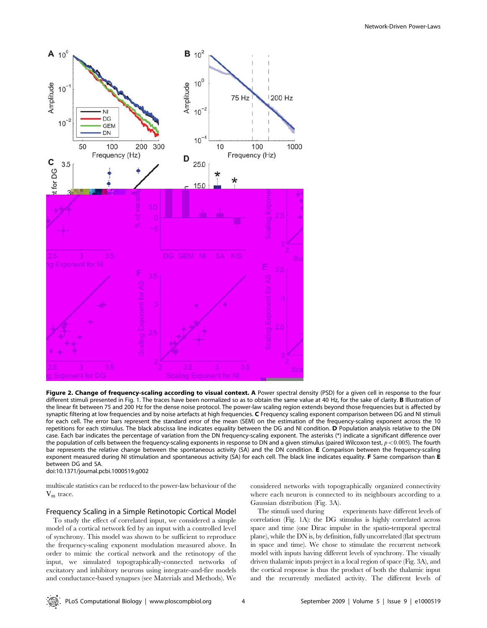

Figure 2. Change of frequency-scaling according to visual context. A Power spectral density (PSD) for a given cell in response to the four different stimuli presented in Fig. 1. The traces have been normalized so as to obtain the same value at 40 Hz, for the sake of clarity. B Illustration of the linear fit between 75 and 200 Hz for the dense noise protocol. The power-law scaling region extends beyond those frequencies but is affected by synaptic filtering at low frequencies and by noise artefacts at high frequencies. C Frequency scaling exponent comparison between DG and NI stimuli for each cell. The error bars represent the standard error of the mean (SEM) on the estimation of the frequency-scaling exponent across the 10 repetitions for each stimulus. The black abscissa line indicates equality between the DG and NI condition. D Population analysis relative to the DN case. Each bar indicates the percentage of variation from the DN frequency-scaling exponent. The asterisks (\*) indicate a significant difference over the population of cells between the frequency-scaling exponents in response to DN and a given stimulus (paired Wilcoxon test,  $p<0.005$ ). The fourth bar represents the relative change between the spontaneous activity (SA) and the DN condition. E Comparison between the frequency-scaling exponent measured during NI stimulation and spontaneous activity (SA) for each cell. The black line indicates equality. F Same comparison than E between DG and SA.

doi:10.1371/journal.pcbi.1000519.g002

multiscale statistics can be reduced to the power-law behaviour of the Vm trace.

considered networks with topographically organized connectivity where each neuron is connected to its neighbours according to a Gaussian distribution (Fig. 3A).

# Frequency Scaling in a Simple Retinotopic Cortical Model

To study the effect of correlated input, we considered a simple model of a cortical network fed by an input with a controlled level of synchrony. This model was shown to be sufficient to reproduce the frequency-scaling exponent modulation measured above. In order to mimic the cortical network and the retinotopy of the input, we simulated topographically-connected networks of excitatory and inhibitory neurons using integrate-and-fire models and conductance-based synapses (see Materials and Methods). We

The stimuli used during experiments have different levels of correlation (Fig. 1A): the DG stimulus is highly correlated across space and time (one Dirac impulse in the spatio-temporal spectral plane), while the DN is, by definition, fully uncorrelated (flat spectrum in space and time). We chose to stimulate the recurrent network model with inputs having different levels of synchrony. The visually driven thalamic inputs project in a local region of space (Fig. 3A), and the cortical response is thus the product of both the thalamic input and the recurrently mediated activity. The different levels of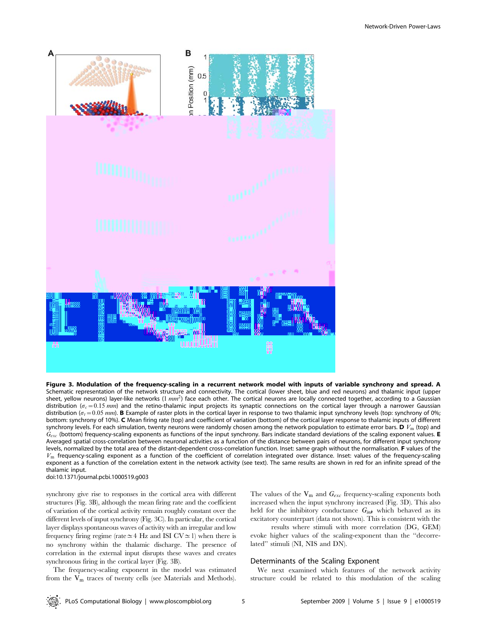

Figure 3. Modulation of the frequency-scaling in a recurrent network model with inputs of variable synchrony and spread. A Schematic representation of the network structure and connectivity. The cortical (lower sheet, blue and red neurons) and thalamic input (upper sheet, yellow neurons) layer-like networks (1  $mm^2$ ) face each other. The cortical neurons are locally connected together, according to a Gaussian distribution  $(\sigma_c = 0.15 \text{ mm})$  and the retino-thalamic input projects its synaptic connections on the cortical layer through a narrower Gaussian distribution ( $\sigma_1 = 0.05$  mm). B Example of raster plots in the cortical layer in response to two thalamic input synchrony levels (top: synchrony of 0%; bottom: synchrony of 10%). C Mean firing rate (top) and coefficient of variation (bottom) of the cortical layer response to thalamic inputs of different synchrony levels. For each simulation, twenty neurons were randomly chosen among the network population to estimate error bars.  $\mathbf{D} V_{m}$  (top) and  $G_{\text{exc}}$  (bottom) frequency-scaling exponents as functions of the input synchrony. Bars indicate standard deviations of the scaling exponent values. E Averaged spatial cross-correlation between neuronal activities as a function of the distance between pairs of neurons, for different input synchrony levels, normalized by the total area of the distant-dependent cross-correlation function. Inset: same graph without the normalisation. F values of the  $V<sub>m</sub>$  frequency-scaling exponent as a function of the coefficient of correlation integrated over distance. Inset: values of the frequency-scaling exponent as a function of the correlation extent in the network activity (see text). The same results are shown in red for an infinite spread of the thalamic input. doi:10.1371/journal.pcbi.1000519.g003

synchrony give rise to responses in the cortical area with different structures (Fig. 3B), although the mean firing rate and the coefficient of variation of the cortical activity remain roughly constant over the different levels of input synchrony (Fig. 3C). In particular, the cortical layer displays spontaneous waves of activity with an irregular and low frequency firing regime (rate  $\simeq$  4 Hz and ISI CV $\simeq$  1) when there is no synchrony within the thalamic discharge. The presence of correlation in the external input disrupts these waves and creates synchronous firing in the cortical layer (Fig. 3B).

The frequency-scaling exponent in the model was estimated from the  $V_m$  traces of twenty cells (see Materials and Methods).

The values of the  $V_m$  and  $G_{exc}$  frequency-scaling exponents both increased when the input synchrony increased (Fig. 3D). This also held for the inhibitory conductance  $G_{\text{init}}$  which behaved as its excitatory counterpart (data not shown). This is consistent with the

results where stimuli with more correlation (DG, GEM) evoke higher values of the scaling-exponent than the ''decorrelated'' stimuli (NI, NIS and DN).

#### Determinants of the Scaling Exponent

We next examined which features of the network activity structure could be related to this modulation of the scaling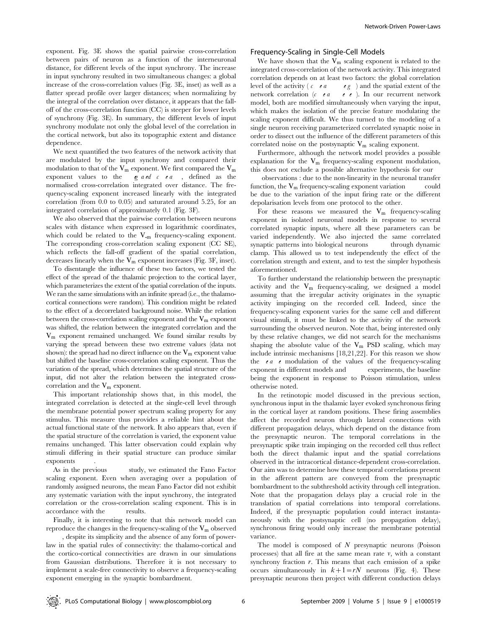exponent. Fig. 3E shows the spatial pairwise cross-correlation between pairs of neuron as a function of the interneuronal distance, for different levels of the input synchrony. The increase in input synchrony resulted in two simultaneous changes: a global increase of the cross-correlation values (Fig. 3E, inset) as well as a flatter spread profile over larger distances; when normalizing by the integral of the correlation over distance, it appears that the falloff of the cross-correlation function (CC) is steeper for lower levels of synchrony (Fig. 3E). In summary, the different levels of input synchrony modulate not only the global level of the correlation in the cortical network, but also its topographic extent and distance dependence.

We next quantified the two features of the network activity that are modulated by the input synchrony and compared their modulation to that of the  $V_m$  exponent. We first compared the  $V_m$ exponent values to the  $e$  a  $e$   $d$   $c$   $e$   $a$   $\theta$ , defined as the normalised cross-correlation integrated over distance. The frequency-scaling exponent increased linearly with the integrated correlation (from 0.0 to 0.05) and saturated around 5.25, for an integrated correlation of approximately 0.1 (Fig. 3F).

We also observed that the pairwise correlation between neurons scales with distance when expressed in logarithmic coordinates, which could be related to the  $V_{-m}$  frequency-scaling exponent. The corresponding cross-correlation scaling exponent (CC SE), which reflects the fall-off gradient of the spatial correlation, decreases linearly when the  $V_m$  exponent increases (Fig. 3F, inset).

To disentangle the influence of these two factors, we tested the effect of the spread of the thalamic projection to the cortical layer, which parameterizes the extent of the spatial correlation of the inputs. We ran the same simulations with an infinite spread (i.e., the thalamocortical connections were random). This condition might be related to the effect of a decorrelated background noise. While the relation between the cross-correlation scaling exponent and the  $V_m$  exponent was shifted, the relation between the integrated correlation and the  $V_m$  exponent remained unchanged. We found similar results by varying the spread between these two extreme values (data not shown): the spread had no direct influence on the  $V_m$  exponent value but shifted the baseline cross-correlation scaling exponent. Thus the variation of the spread, which determines the spatial structure of the input, did not alter the relation between the integrated crosscorrelation and the  $V_m$  exponent.

This important relationship shows that, in this model, the integrated correlation is detected at the single-cell level through the membrane potential power spectrum scaling property for any stimulus. This measure thus provides a reliable hint about the actual functional state of the network. It also appears that, even if the spatial structure of the correlation is varied, the exponent value remains unchanged. This latter observation could explain why stimuli differing in their spatial structure can produce similar exponents

As in the previous study, we estimated the Fano Factor scaling exponent. Even when averaging over a population of randomly assigned neurons, the mean Fano Factor did not exhibit any systematic variation with the input synchrony, the integrated correlation or the cross-correlation scaling exponent. This is in accordance with the results.

Finally, it is interesting to note that this network model can reproduce the changes in the frequency-scaling of the  $V_m$  observed

, despite its simplicity and the absence of any form of powerlaw in the spatial rules of connectivity: the thalamo-cortical and the cortico-cortical connectivities are drawn in our simulations from Gaussian distributions. Therefore it is not necessary to implement a scale-free connectivity to observe a frequency-scaling exponent emerging in the synaptic bombardment.

# Frequency-Scaling in Single-Cell Models

We have shown that the  $V_m$  scaling exponent is related to the integrated cross-correlation of the network activity. This integrated correlation depends on at least two factors: the global correlation level of the activity (  $c \cdot e \cdot a \cdot e \cdot g$  ) and the spatial extent of the network correlation  $(c \cdot e \cdot e)$ . In our recurrent network model, both are modified simultaneously when varying the input, which makes the isolation of the precise feature modulating the scaling exponent difficult. We thus turned to the modeling of a single neuron receiving parameterized correlated synaptic noise in order to dissect out the influence of the different parameters of this correlated noise on the postsynaptic  $V_m$  scaling exponent.

Furthermore, although the network model provides a possible explanation for the  $V_m$  frequency-scaling exponent modulation, this does not exclude a possible alternative hypothesis for our in

observations : due to the non-linearity in the neuronal transfer function, the  $V_m$  frequency-scaling exponent variation could be due to the variation of the input firing rate or the different depolarisation levels from one protocol to the other.

For these reasons we measured the  $V_m$  frequency-scaling exponent in isolated neuronal models in response to several correlated synaptic inputs, where all these parameters can be varied independently. We also injected the same correlated synaptic patterns into biological neurons through dynamic clamp. This allowed us to test independently the effect of the correlation strength and extent, and to test the simpler hypothesis aforementioned.

To further understand the relationship between the presynaptic activity and the  $V_m$  frequency-scaling, we designed a model assuming that the irregular activity originates in the synaptic activity impinging on the recorded cell. Indeed, since the frequency-scaling exponent varies for the same cell and different visual stimuli, it must be linked to the activity of the network surrounding the observed neuron. Note that, being interested only by these relative changes, we did not search for the mechanisms shaping the absolute value of the  $V_m$  PSD scaling, which may include intrinsic mechanisms [18,21,22]. For this reason we show the  $ea$  e modulation of the values of the frequency-scaling exponent in different models and experiments, the baseline being the exponent in response to Poisson stimulation, unless otherwise noted.

In the retinotopic model discussed in the previous section, synchronous input in the thalamic layer evoked synchronous firing in the cortical layer at random positions. These firing assemblies affect the recorded neuron through lateral connections with different propagation delays, which depend on the distance from the presynaptic neuron. The temporal correlations in the presynaptic spike train impinging on the recorded cell thus reflect both the direct thalamic input and the spatial correlations observed in the intracortical distance-dependent cross-correlation. Our aim was to determine how these temporal correlations present in the afferent pattern are conveyed from the presynaptic bombardment to the subthreshold activity through cell integration. Note that the propagation delays play a crucial role in the translation of spatial correlations into temporal correlations. Indeed, if the presynaptic population could interact instantaneously with the postsynaptic cell (no propagation delay), synchronous firing would only increase the membrane potential variance.

The model is composed of  $N$  presynaptic neurons (Poisson processes) that all fire at the same mean rate  $v$ , with a constant synchrony fraction  $r$ . This means that each emission of a spike occurs simultaneously in  $k+1=rN$  neurons (Fig. 4). These presynaptic neurons then project with different conduction delays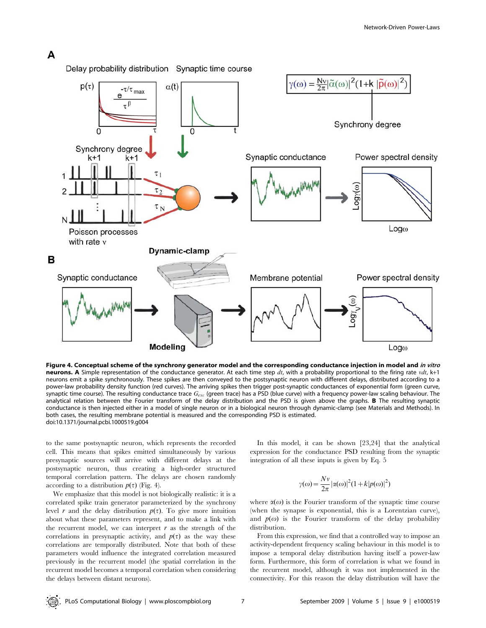

Figure 4. Conceptual scheme of the synchrony generator model and the corresponding conductance injection in model and in vitro neurons. A Simple representation of the conductance generator. At each time step dt, with a probability proportional to the firing rate vdt, k+1 neurons emit a spike synchronously. These spikes are then conveyed to the postsynaptic neuron with different delays, distributed according to a power-law probability density function (red curves). The arriving spikes then trigger post-synaptic conductances of exponential form (green curve, synaptic time course). The resulting conductance trace  $G_{exc}$  (green trace) has a PSD (blue curve) with a frequency power-law scaling behaviour. The analytical relation between the Fourier transform of the delay distribution and the PSD is given above the graphs. B The resulting synaptic conductance is then injected either in a model of single neuron or in a biological neuron through dynamic-clamp (see Materials and Methods). In both cases, the resulting membrane potential is measured and the corresponding PSD is estimated. doi:10.1371/journal.pcbi.1000519.g004

to the same postsynaptic neuron, which represents the recorded cell. This means that spikes emitted simultaneously by various presynaptic sources will arrive with different delays at the postsynaptic neuron, thus creating a high-order structured temporal correlation pattern. The delays are chosen randomly according to a distribution  $p(\tau)$  (Fig. 4).

We emphasize that this model is not biologically realistic: it is a correlated spike train generator parameterized by the synchrony level r and the delay distribution  $p(\tau)$ . To give more intuition about what these parameters represent, and to make a link with the recurrent model, we can interpret  $r$  as the strength of the correlations in presynaptic activity, and  $p(\tau)$  as the way these correlations are temporally distributed. Note that both of these parameters would influence the integrated correlation measured previously in the recurrent model (the spatial correlation in the recurrent model becomes a temporal correlation when considering the delays between distant neurons).

In this model, it can be shown [23,24] that the analytical expression for the conductance PSD resulting from the synaptic integration of all these inputs is given by Eq. 5

$$
\gamma(\omega) = \frac{Nv}{2\pi} |\alpha(\omega)|^2 (1 + k|p(\omega)|^2)
$$

where  $\alpha(\omega)$  is the Fourier transform of the synaptic time course (when the synapse is exponential, this is a Lorentzian curve), and  $p(\omega)$  is the Fourier transform of the delay probability distribution.

From this expression, we find that a controlled way to impose an activity-dependent frequency scaling behaviour in this model is to impose a temporal delay distribution having itself a power-law form. Furthermore, this form of correlation is what we found in the recurrent model, although it was not implemented in the connectivity. For this reason the delay distribution will have the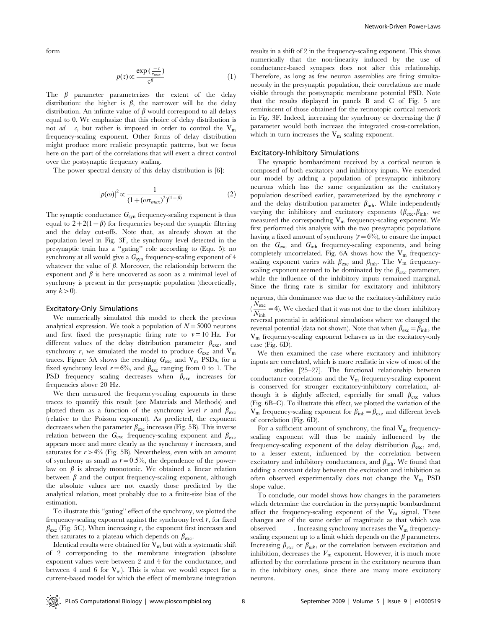form

$$
p(\tau) \propto \frac{\exp\left(\frac{-\tau}{\tau_{max}}\right)}{\tau^{\beta}}
$$
 (1)

The  $\beta$  parameter parameterizes the extent of the delay distribution: the higher is  $\beta$ , the narrower will be the delay distribution. An infinite value of  $\beta$  would correspond to all delays equal to 0. We emphasize that this choice of delay distribution is not ad  $\epsilon$ , but rather is imposed in order to control the  $V_m$ frequency-scaling exponent. Other forms of delay distribution might produce more realistic presynaptic patterns, but we focus here on the part of the correlations that will exert a direct control over the postsynaptic frequency scaling.

The power spectral density of this delay distribution is [6]:

$$
|p(\omega)|^2 \propto \frac{1}{(1 + (\omega \tau_{max})^2)^{(1-\beta)}}
$$
 (2)

The synaptic conductance  $G_{syn}$  frequency-scaling exponent is thus equal to  $2+2(1-\beta)$  for frequencies beyond the synaptic filtering and the delay cut-offs. Note that, as already shown at the population level in Fig. 3F, the synchrony level detected in the presynaptic train has a ''gating'' role according to (Equ. 5): no synchrony at all would give a  $G_{syn}$  frequency-scaling exponent of 4 whatever the value of  $\beta$ . Moreover, the relationship between the exponent and  $\beta$  is here uncovered as soon as a minimal level of synchrony is present in the presynaptic population (theoretically, any  $k>0$ ).

## Excitatory-Only Simulations

We numerically simulated this model to check the previous analytical expression. We took a population of  $N = 5000$  neurons and first fixed the presynaptic firing rate to  $v = 10$  Hz. For different values of the delay distribution parameter  $\beta_{\text{exc}}$ , and synchrony  $r$ , we simulated the model to produce  $G_{\text{exc}}$  and  $V_{\text{m}}$ traces. Figure 5A shows the resulting  $G_{\text{exc}}$  and  $V_m$  PSDs, for a fixed synchrony level  $r=6\%$ , and  $\beta_{\text{exc}}$  ranging from 0 to 1. The PSD frequency scaling decreases when  $\beta_{\text{exc}}$  increases for frequencies above 20 Hz.

We then measured the frequency-scaling exponents in these traces to quantify this result (see Materials and Methods) and plotted them as a function of the synchrony level r and  $\beta_{\text{exc}}$ (relative to the Poisson exponent). As predicted, the exponent decreases when the parameter  $\beta_{\text{exc}}$  increases (Fig. 5B). This inverse relation between the  $G_{\text{exc}}$  frequency-scaling exponent and  $\beta_{\text{exc}}$ appears more and more clearly as the synchrony  $r$  increases, and saturates for  $r > 4\%$  (Fig. 5B). Nevertheless, even with an amount of synchrony as small as  $r=0.5%$ , the dependence of the powerlaw on  $\beta$  is already monotonic. We obtained a linear relation between  $\beta$  and the output frequency-scaling exponent, although the absolute values are not exactly those predicted by the analytical relation, most probably due to a finite-size bias of the estimation.

To illustrate this ''gating'' effect of the synchrony, we plotted the frequency-scaling exponent against the synchrony level  $r$ , for fixed  $\beta_{\rm exc}$  (Fig. 5C). When increasing r, the exponent first increases and then saturates to a plateau which depends on  $\beta_{\text{exc}}$ .

Identical results were obtained for  $V_m$  but with a systematic shift of 2 corresponding to the membrane integration (absolute exponent values were between 2 and 4 for the conductance, and between 4 and 6 for  $V_m$ ). This is what we would expect for a current-based model for which the effect of membrane integration results in a shift of 2 in the frequency-scaling exponent. This shows numerically that the non-linearity induced by the use of conductance-based synapses does not alter this relationship. Therefore, as long as few neuron assemblies are firing simultaneously in the presynaptic population, their correlations are made visible through the postsynaptic membrane potential PSD. Note that the results displayed in panels B and C of Fig. 5 are reminiscent of those obtained for the retinotopic cortical network in Fig. 3F. Indeed, increasing the synchrony or decreasing the  $\beta$ parameter would both increase the integrated cross-correlation, which in turn increases the  $V_m$  scaling exponent.

## Excitatory-Inhibitory Simulations

The synaptic bombardment received by a cortical neuron is composed of both excitatory and inhibitory inputs. We extended our model by adding a population of presynaptic inhibitory neurons which has the same organization as the excitatory population described earlier, parameterized by the synchrony r and the delay distribution parameter  $\beta_{inh}$ . While independently varying the inhibitory and excitatory exponents ( $\beta_{\text{exc}}, \beta_{\text{inh}}$ , we measured the corresponding Vm frequency-scaling exponent. We first performed this analysis with the two presynaptic populations having a fixed amount of synchrony  $(r=6\%)$ , to ensure the impact on the  $G_{\text{exc}}$  and  $G_{\text{inh}}$  frequency-scaling exponents, and being completely uncorrelated. Fig. 6A shows how the  $V_m$  frequencyscaling exponent varies with  $\beta_{\text{exc}}$  and  $\beta_{\text{inh}}$ . The  $V_m$  frequencyscaling exponent seemed to be dominated by the  $\beta_{exc}$  parameter, while the influence of the inhibitory inputs remained marginal. Since the firing rate is similar for excitatory and inhibitory

neurons, this dominance was due to the excitatory-inhibitory ratio  $(\frac{N_{\text{exc}}}{N_{\text{av}}}$  = 4). We checked that it was not due to the closer inhibitory  $N_{\text{inh}}$  is the encenced that it was not due to the effect imminion, reversal potential (data not shown). Note that when  $\beta_{\text{exc}} = \beta_{\text{inh}}$ , the Vm frequency-scaling exponent behaves as in the excitatory-only case (Fig. 6D).

We then examined the case where excitatory and inhibitory inputs are correlated, which is more realistic in view of most of the studies  $[25-27]$ . The functional relationship between conductance correlations and the  $V_m$  frequency-scaling exponent is conserved for stronger excitatory-inhibitory correlation, although it is slightly affected, especially for small  $\beta_{\text{exc}}$  values (Fig. 6B–C). To illustrate this effect, we plotted the variation of the  $V_m$  frequency-scaling exponent for  $\beta_{inh} = \beta_{exc}$  and different levels

of correlation (Fig. 6D).

For a sufficient amount of synchrony, the final  $V_m$  frequencyscaling exponent will thus be mainly influenced by the frequency-scaling exponent of the delay distribution  $\beta_{\text{exc}}$ , and, to a lesser extent, influenced by the correlation between excitatory and inhibitory conductances, and  $\beta_{\text{inh}}$ . We found that adding a constant delay between the excitation and inhibition as often observed experimentally does not change the  $V_m$  PSD slope value.

To conclude, our model shows how changes in the parameters which determine the correlation in the presynaptic bombardment affect the frequency-scaling exponent of the  $V_m$  signal. These changes are of the same order of magnitude as that which was observed **increasing synchrony increases the**  $V_m$  **frequency**scaling exponent up to a limit which depends on the  $\beta$  parameters. Increasing  $\beta_{exc}$  or  $\beta_{init}$ , or the correlation between excitation and inhibition, decreases the  $V<sub>m</sub>$  exponent. However, it is much more affected by the correlations present in the excitatory neurons than in the inhibitory ones, since there are many more excitatory neurons.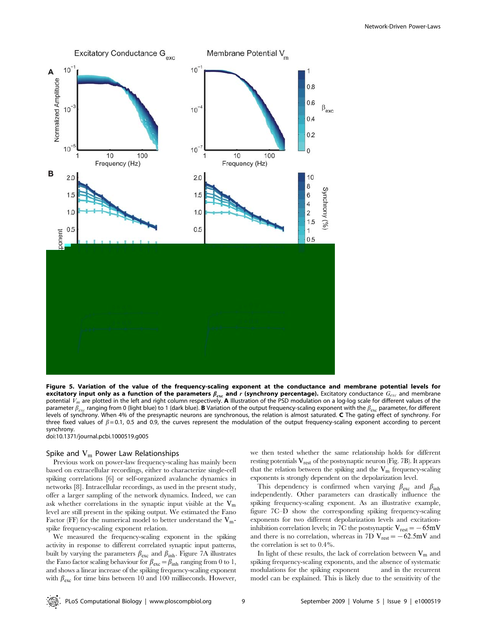

Figure 5. Variation of the value of the frequency-scaling exponent at the conductance and membrane potential levels for excitatory input only as a function of the parameters  $\beta_{\rm exc}$  and r (synchrony percentage). Excitatory conductance  $G_{\rm exc}$  and membrane potential  $V_m$  are plotted in the left and right column respectively. A Illustration of the PSD modulation on a log-log scale for different values of the parameter  $\beta_{exc}$  ranging from 0 (light blue) to 1 (dark blue). **B** Variation of the output frequency-scaling exponent with the  $\beta_{exc}$  parameter, for different levels of synchrony. When 4% of the presynaptic neurons are synchronous, the relation is almost saturated. C The gating effect of synchrony. For three fixed values of  $\beta$  = 0.1, 0.5 and 0.9, the curves represent the modulation of the output frequency-scaling exponent according to percent synchrony.

doi:10.1371/journal.pcbi.1000519.g005

# Spike and  $V_m$  Power Law Relationships

Previous work on power-law frequency-scaling has mainly been based on extracellular recordings, either to characterize single-cell spiking correlations [6] or self-organized avalanche dynamics in networks [8]. Intracellular recordings, as used in the present study, offer a larger sampling of the network dynamics. Indeed, we can ask whether correlations in the synaptic input visible at the  $V_m$ level are still present in the spiking output. We estimated the Fano Factor (FF) for the numerical model to better understand the  $V_m$ spike frequency-scaling exponent relation.

We measured the frequency-scaling exponent in the spiking activity in response to different correlated synaptic input patterns, built by varying the parameters  $\beta_{\text{exc}}$  and  $\beta_{\text{inh}}$ . Figure 7A illustrates the Fano factor scaling behaviour for  $\beta_{\text{exc}} = \beta_{\text{inh}}$  ranging from 0 to 1, and shows a linear increase of the spiking frequency-scaling exponent with  $\beta_{\text{exc}}$  for time bins between 10 and 100 milliseconds. However,

we then tested whether the same relationship holds for different resting potentials Vrest of the postsynaptic neuron (Fig. 7B). It appears that the relation between the spiking and the  $V_m$  frequency-scaling exponents is strongly dependent on the depolarization level.

This dependency is confirmed when varying  $\beta_{\text{exc}}$  and  $\beta_{\text{inh}}$ independently. Other parameters can drastically influence the spiking frequency-scaling exponent. As an illustrative example, figure 7C–D show the corresponding spiking frequency-scaling exponents for two different depolarization levels and excitationinhibition correlation levels; in 7C the postsynaptic  $V_{rest} = -65 \text{mV}$ and there is no correlation, whereas in 7D  $V_{rest} = -62.5 \text{mV}$  and the correlation is set to 0.4%.

In light of these results, the lack of correlation between  $V_m$  and spiking frequency-scaling exponents, and the absence of systematic modulations for the spiking exponent and in the recurrent model can be explained. This is likely due to the sensitivity of the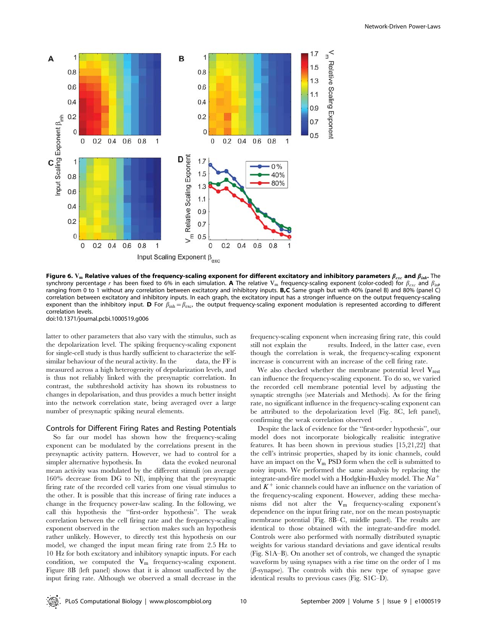

Figure 6.  $V_m$  Relative values of the frequency-scaling exponent for different excitatory and inhibitory parameters  $\beta_{exc}$  and  $\beta_{im}$ . The synchrony percentage r has been fixed to 6% in each simulation. A The relative V<sub>m</sub> frequency-scaling exponent (color-coded) for  $\beta_{exc}$  and  $\beta_{ink}$ ranging from 0 to 1 without any correlation between excitatory and inhibitory inputs. B,C Same graph but with 40% (panel B) and 80% (panel C) correlation between excitatory and inhibitory inputs. In each graph, the excitatory input has a stronger influence on the output frequency-scaling exponent than the inhibitory input. **D** For  $\beta_{\text{inh}} = \beta_{\text{exc}}$ , the output frequency-scaling exponent modulation is represented according to different correlation levels. doi:10.1371/journal.pcbi.1000519.g006

latter to other parameters that also vary with the stimulus, such as the depolarization level. The spiking frequency-scaling exponent for single-cell study is thus hardly sufficient to characterize the selfsimilar behaviour of the neural activity. In the data, the FF is measured across a high heterogeneity of depolarization levels, and is thus not reliably linked with the presynaptic correlation. In contrast, the subthreshold activity has shown its robustness to changes in depolarisation, and thus provides a much better insight

## Controls for Different Firing Rates and Resting Potentials

into the network correlation state, being averaged over a large

number of presynaptic spiking neural elements.

So far our model has shown how the frequency-scaling exponent can be modulated by the correlations present in the presynaptic activity pattern. However, we had to control for a simpler alternative hypothesis. In data the evoked neuronal mean activity was modulated by the different stimuli (on average 160% decrease from DG to NI), implying that the presynaptic firing rate of the recorded cell varies from one visual stimulus to the other. It is possible that this increase of firing rate induces a change in the frequency power-law scaling. In the following, we call this hypothesis the ''first-order hypothesis''. The weak correlation between the cell firing rate and the frequency-scaling exponent observed in the section makes such an hypothesis rather unlikely. However, to directly test this hypothesis on our model, we changed the input mean firing rate from 2.5 Hz to 10 Hz for both excitatory and inhibitory synaptic inputs. For each condition, we computed the  $V_m$  frequency-scaling exponent. Figure 8B (left panel) shows that it is almost unaffected by the input firing rate. Although we observed a small decrease in the

frequency-scaling exponent when increasing firing rate, this could still not explain the results. Indeed, in the latter case, even though the correlation is weak, the frequency-scaling exponent increase is concurrent with an increase of the cell firing rate.

We also checked whether the membrane potential level  $V_{rest}$ can influence the frequency-scaling exponent. To do so, we varied the recorded cell membrane potential level by adjusting the synaptic strengths (see Materials and Methods). As for the firing rate, no significant influence in the frequency-scaling exponent can be attributed to the depolarization level (Fig. 8C, left panel), confirming the weak correlation observed

Despite the lack of evidence for the ''first-order hypothesis'', our model does not incorporate biologically realisitic integrative features. It has been shown in previous studies [15,21,22] that the cell's intrinsic properties, shaped by its ionic channels, could have an impact on the  $V_m$  PSD form when the cell is submitted to noisy inputs. We performed the same analysis by replacing the integrate-and-fire model with a Hodgkin-Huxley model. The  $Na<sup>+</sup>$ and  $K^+$  ionic channels could have an influence on the variation of the frequency-scaling exponent. However, adding these mechanisms did not alter the  $V_m$  frequency-scaling exponent's dependence on the input firing rate, nor on the mean postsynaptic membrane potential (Fig. 8B–C, middle panel). The results are identical to those obtained with the integrate-and-fire model. Controls were also performed with normally distributed synaptic weights for various standard deviations and gave identical results (Fig. S1A–B). On another set of controls, we changed the synaptic waveform by using synapses with a rise time on the order of 1 ms  $(\beta$ -synapse). The controls with this new type of synapse gave identical results to previous cases (Fig. S1C–D).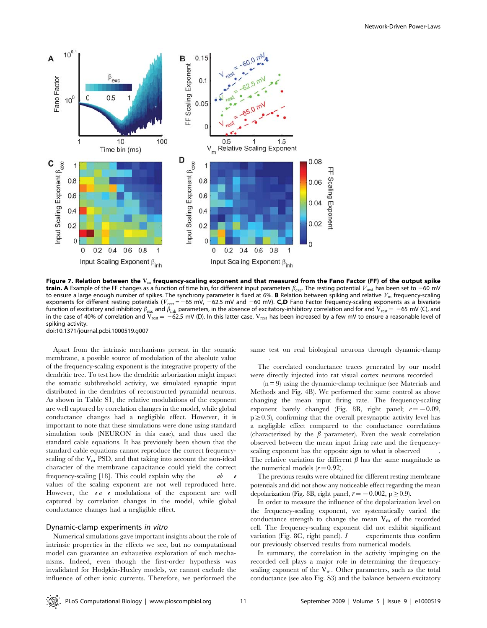

Figure 7. Relation between the  $V_m$  frequency-scaling exponent and that measured from the Fano Factor (FF) of the output spike **train. A** Example of the FF changes as a function of time bin, for different input parameters  $\beta_{\text{exc}}$ . The resting potential  $V_{\text{rest}}$  has been set to  $-60$  mV to ensure a large enough number of spikes. The synchrony parameter is fixed at 6%. **B** Relation between spiking and relative  $V<sub>m</sub>$  frequency-scaling exponents for different resting potentials ( $V_{resr}$  = -65 mV, -62.5 mV and -60 mV). C,D Fano Factor frequency-scaling exponents as a bivariate function of excitatory and inhibitory  $\beta_{\rm exc}$  and  $\beta_{\rm inh}$  parameters, in the absence of excitatory-inhibitory correlation and for and  $\rm V_{rest}$   $=$   $-65$  mV (C), and in the case of 40% of correlation and  $V_{rest} = -62.5$  mV (D). In this latter case, V<sub>rest</sub> has been increased by a few mV to ensure a reasonable level of spiking activity. doi:10.1371/journal.pcbi.1000519.g007

in vitro.

Apart from the intrinsic mechanisms present in the somatic membrane, a possible source of modulation of the absolute value of the frequency-scaling exponent is the integrative property of the dendritic tree. To test how the dendritic arborization might impact the somatic subthreshold activity, we simulated synaptic input distributed in the dendrites of reconstructed pyramidal neurons. As shown in Table S1, the relative modulations of the exponent are well captured by correlation changes in the model, while global conductance changes had a negligible effect. However, it is important to note that these simulations were done using standard simulation tools (NEURON in this case), and thus used the standard cable equations. It has previously been shown that the standard cable equations cannot reproduce the correct frequencyscaling of the  $V_m$  PSD, and that taking into account the non-ideal character of the membrane capacitance could yield the correct frequency-scaling [18]. This could explain why the  $ab$   $ab$ values of the scaling exponent are not well reproduced here. However, the  $ea$  e modulations of the exponent are well captured by correlation changes in the model, while global conductance changes had a negligible effect.

# Dynamic-clamp experiments in vitro

Numerical simulations gave important insights about the role of intrinsic properties in the effects we see, but no computational model can guarantee an exhaustive exploration of such mechanisms. Indeed, even though the first-order hypothesis was invalidated for Hodgkin-Huxley models, we cannot exclude the influence of other ionic currents. Therefore, we performed the

same test on real biological neurons through dynamic-clamp

The correlated conductance traces generated by our model were directly injected into rat visual cortex neurons recorded

 $(n = 9)$  using the dynamic-clamp technique (see Materials and Methods and Fig. 4B). We performed the same control as above changing the mean input firing rate. The frequency-scaling exponent barely changed (Fig. 8B, right panel;  $r = -0.09$ ,  $p \geq 0.3$ ), confirming that the overall presynaptic activity level has a negligible effect compared to the conductance correlations (characterized by the  $\beta$  parameter). Even the weak correlation observed between the mean input firing rate and the frequencyscaling exponent has the opposite sign to what is observed The relative variation for different  $\beta$  has the same magnitude as the numerical models  $(r=0.92)$ .

The previous results were obtained for different resting membrane potentials and did not show any noticeable effect regarding the mean depolarization (Fig. 8B, right panel,  $r={-0.002}$ , p $\ge$ 0.9).

In order to measure the influence of the depolarization level on the frequency-scaling exponent, we systematically varied the conductance strength to change the mean  $V_m$  of the recorded cell. The frequency-scaling exponent did not exhibit significant variation (Fig. 8C, right panel).  $I$  experiments thus confirm our previously observed results from numerical models.

In summary, the correlation in the activity impinging on the recorded cell plays a major role in determining the frequencyscaling exponent of the  $V_m$ . Other parameters, such as the total conductance (see also Fig. S3) and the balance between excitatory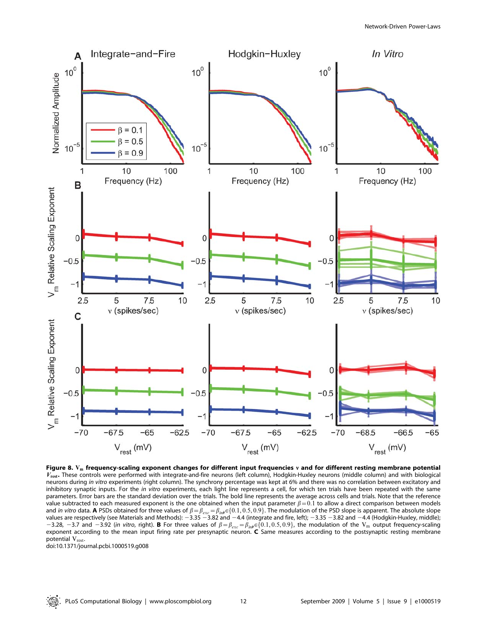

Figure 8. V<sub>m</sub> frequency-scaling exponent changes for different input frequencies *v* and for different resting membrane potential  $V_{\text{rest}}$ . These controls were performed with integrate-and-fire neurons (left column), Hodgkin-Huxley neurons (middle column) and with biological neurons during in vitro experiments (right column). The synchrony percentage was kept at 6% and there was no correlation between excitatory and inhibitory synaptic inputs. For the in vitro experiments, each light line represents a cell, for which ten trials have been repeated with the same parameters. Error bars are the standard deviation over the trials. The bold line represents the average across cells and trials. Note that the reference value subtracted to each measured exponent is the one obtained when the input parameter  $\beta=0.1$  to allow a direct comparison between models and *in vitro* data. **A** PSDs obtained for three values of  $\beta = \beta_{exc} = \beta_{ink} \in \{0.1, 0.5, 0.9\}$ . The modulation of the PSD slope is apparent. The absolute slope<br>values are respectively (see Materials and Methods):  $-3.35 -3$ -3.28, -3.7 and -3.92 (in vitro, right). **B** For three values of  $\beta = \beta_{exc} = \beta_{int} \in \{0.1, 0.5, 0.9\}$ , the modulation of the V<sub>m</sub> output frequency-scaling exponent according to the mean input firing rate per presynaptic ne potential V<sub>rest</sub>.

doi:10.1371/journal.pcbi.1000519.g008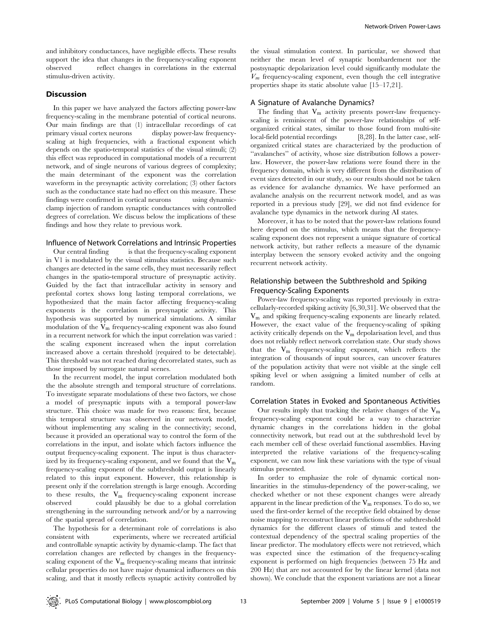and inhibitory conductances, have negligible effects. These results support the idea that changes in the frequency-scaling exponent observed reflect changes in correlations in the external stimulus-driven activity.

# **Discussion**

In this paper we have analyzed the factors affecting power-law frequency-scaling in the membrane potential of cortical neurons. Our main findings are that (1) intracellular recordings of cat primary visual cortex neurons display power-law frequencyscaling at high frequencies, with a fractional exponent which depends on the spatio-temporal statistics of the visual stimuli; (2) this effect was reproduced in computational models of a recurrent network, and of single neurons of various degrees of complexity; the main determinant of the exponent was the correlation waveform in the presynaptic activity correlation; (3) other factors such as the conductance state had no effect on this measure. These findings were confirmed in cortical neurons using dynamicclamp injection of random synaptic conductances with controlled degrees of correlation. We discuss below the implications of these findings and how they relate to previous work.

# Influence of Network Correlations and Intrinsic Properties

Our central finding is that the frequency-scaling exponent in V1 is modulated by the visual stimulus statistics. Because such changes are detected in the same cells, they must necessarily reflect changes in the spatio-temporal structure of presynaptic activity. Guided by the fact that intracellular activity in sensory and prefontal cortex shows long lasting temporal correlations, we hypothesized that the main factor affecting frequency-scaling exponents is the correlation in presynaptic activity. This hypothesis was supported by numerical simulations. A similar modulation of the  $\mathrm{V}_\mathrm{m}$  frequency-scaling exponent was also found in a recurrent network for which the input correlation was varied : the scaling exponent increased when the input correlation increased above a certain threshold (required to be detectable). This threshold was not reached during decorrelated states, such as those imposed by surrogate natural scenes.

In the recurrent model, the input correlation modulated both the the absolute strength and temporal structure of correlations. To investigate separate modulations of these two factors, we chose a model of presynaptic inputs with a temporal power-law structure. This choice was made for two reasons: first, because this temporal structure was observed in our network model, without implementing any scaling in the connectivity; second, because it provided an operational way to control the form of the correlations in the input, and isolate which factors influence the output frequency-scaling exponent. The input is thus characterized by its frequency-scaling exponent, and we found that the  $V_m$ frequency-scaling exponent of the subthreshold output is linearly related to this input exponent. However, this relationship is present only if the correlation strength is large enough. According to these results, the  $V_m$  frequency-scaling exponent increase observed could plausibly be due to a global correlation strengthening in the surrounding network and/or by a narrowing of the spatial spread of correlation.

The hypothesis for a determinant role of correlations is also consistent with experiments, where we recreated artificial and controllable synaptic activity by dynamic-clamp. The fact that correlation changes are reflected by changes in the frequencyscaling exponent of the  $V_m$  frequency-scaling means that intrinsic cellular properties do not have major dynamical influences on this scaling, and that it mostly reflects synaptic activity controlled by

the visual stimulation context. In particular, we showed that neither the mean level of synaptic bombardement nor the postsynaptic depolarization level could significantly modulate the  $V_m$  frequency-scaling exponent, even though the cell integrative properties shape its static absolute value [15–17,21].

# A Signature of Avalanche Dynamics?

The finding that  $V_m$  activity presents power-law frequencyscaling is reminiscent of the power-law relationships of selforganized critical states, similar to those found from multi-site local-field potential recordings [8,28]. In the latter case, selforganized critical states are characterized by the production of ''avalanches'' of activity, whose size distribution follows a powerlaw. However, the power-law relations were found there in the frequency domain, which is very different from the distribution of event sizes detected in our study, so our results should not be taken as evidence for avalanche dynamics. We have performed an avalanche analysis on the recurrent network model, and as was reported in a previous study [29], we did not find evidence for avalanche type dynamics in the network during AI states.

Moreover, it has to be noted that the power-law relations found here depend on the stimulus, which means that the frequencyscaling exponent does not represent a unique signature of cortical network activity, but rather reflects a measure of the dynamic interplay between the sensory evoked activity and the ongoing recurrent network activity.

# Relationship between the Subthreshold and Spiking Frequency-Scaling Exponents

Power-law frequency-scaling was reported previously in extracellularly-recorded spiking activity [6,30,31]. We observed that the Vm and spiking frequency-scaling exponents are linearly related. However, the exact value of the frequency-scaling of spiking activity critically depends on the  $V_m$  depolarisation level, and thus does not reliably reflect network correlation state. Our study shows that the Vm frequency-scaling exponent, which reflects the integration of thousands of input sources, can uncover features of the population activity that were not visible at the single cell spiking level or when assigning a limited number of cells at random.

## Correlation States in Evoked and Spontaneous Activities

Our results imply that tracking the relative changes of the  $V_m$ frequency-scaling exponent could be a way to characterize dynamic changes in the correlations hidden in the global connectivity network, but read out at the subthreshold level by each member cell of these overlaid functional assemblies. Having interpreted the relative variations of the frequency-scaling exponent, we can now link these variations with the type of visual stimulus presented.

In order to emphasize the role of dynamic cortical nonlinearities in the stimulus-dependency of the power-scaling, we checked whether or not these exponent changes were already apparent in the linear prediction of the  $V_m$  responses. To do so, we used the first-order kernel of the receptive field obtained by dense noise mapping to reconstruct linear predictions of the subthreshold dynamics for the different classes of stimuli and tested the contextual dependency of the spectral scaling properties of the linear predictor. The modulatory effects were not retrieved, which was expected since the estimation of the frequency-scaling exponent is performed on high frequencies (between 75 Hz and 200 Hz) that are not accounted for by the linear kernel (data not shown). We conclude that the exponent variations are not a linear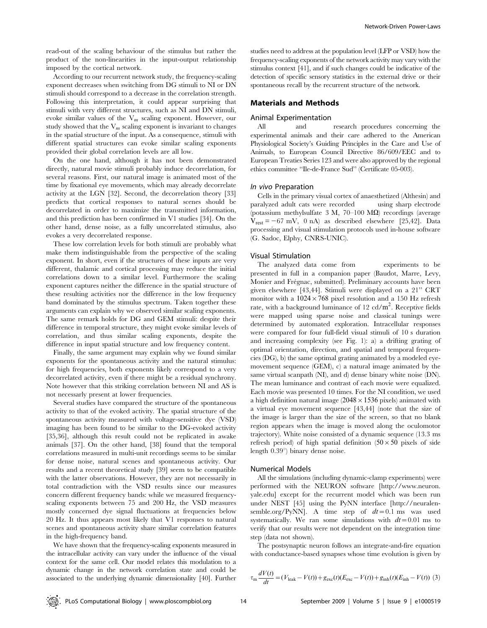imposed by the cortical network. According to our recurrent network study, the frequency-scaling exponent decreases when switching from DG stimuli to NI or DN stimuli should correspond to a decrease in the correlation strength. Following this interpretation, it could appear surprising that stimuli with very different structures, such as NI and DN stimuli, evoke similar values of the  $V_m$  scaling exponent. However, our study showed that the  $V_m$  scaling exponent is invariant to changes in the spatial structure of the input. As a consequence, stimuli with different spatial structures can evoke similar scaling exponents provided their global correlation levels are all low.

On the one hand, although it has not been demonstrated directly, natural movie stimuli probably induce decorrelation, for several reasons. First, our natural image is animated most of the time by fixational eye movements, which may already decorrelate activity at the LGN [32]. Second, the decorrelation theory [33] predicts that cortical responses to natural scenes should be decorrelated in order to maximize the transmitted information, and this prediction has been confirmed in V1 studies [34]. On the other hand, dense noise, as a fully uncorrelated stimulus, also evokes a very decorrelated response.

These low correlation levels for both stimuli are probably what make them indistinguishable from the perspective of the scaling exponent. In short, even if the structures of these inputs are very different, thalamic and cortical processing may reduce the initial correlations down to a similar level. Furthermore the scaling exponent captures neither the difference in the spatial structure of these resulting activities nor the difference in the low frequency band dominated by the stimulus spectrum. Taken together these arguments can explain why we observed similar scaling exponents. The same remark holds for DG and GEM stimuli: despite their difference in temporal structure, they might evoke similar levels of correlation, and thus similar scaling exponents, despite the difference in input spatial structure and low frequency content.

Finally, the same argument may explain why we found similar exponents for the spontaneous activity and the natural stimulus: for high frequencies, both exponents likely correspond to a very decorrelated activity, even if there might be a residual synchrony. Note however that this striking correlation between NI and AS is not necessarly present at lower frequencies.

Several studies have compared the structure of the spontaneous activity to that of the evoked activity. The spatial structure of the spontaneous activity measured with voltage-sensitive dye (VSD) imaging has been found to be similar to the DG-evoked activity [35,36], although this result could not be replicated in awake animals [37]. On the other hand, [38] found that the temporal correlations measured in multi-unit recordings seems to be similar for dense noise, natural scenes and spontaneous activity. Our results and a recent theoretical study [39] seem to be compatible with the latter observations. However, they are not necessarily in total contradiction with the VSD results since our measures concern different frequency bands: while we measured frequencyscaling exponents between 75 and 200 Hz, the VSD measures mostly concerned dye signal fluctuations at frequencies below 20 Hz. It thus appears most likely that V1 responses to natural scenes and spontaneous activity share similar correlation features in the high-frequency band.

We have shown that the frequency-scaling exponents measured in the intracellular activity can vary under the influence of the visual context for the same cell. Our model relates this modulation to a dynamic change in the network correlation state and could be associated to the underlying dynamic dimensionality [40]. Further

studies need to address at the population level (LFP or VSD) how the frequency-scaling exponents of the network activity may vary with the stimulus context [41], and if such changes could be indicative of the detection of specific sensory statistics in the external drive or their spontaneous recall by the recurrent structure of the network.

# Materials and Methods

## Animal Experimentation

All and research procedures concerning the experimental animals and their care adhered to the American Physiological Society's Guiding Principles in the Care and Use of Animals, to European Council Directive 86/609/EEC and to European Treaties Series 123 and were also approved by the regional ethics committee ''Ile-de-France Sud'' (Certificate 05-003).

## In vivo Preparation

Cells in the primary visual cortex of anaesthetized (Althesin) and paralyzed adult cats were recorded using sharp electrode (potassium methylsulfate  $3 \text{ M}$ ,  $70-100 \text{ M}\Omega$ ) recordings (average  $V_{rest} = -67$  mV, 0 nA) as described elsewhere [25,42]. Data processing and visual stimulation protocols used in-house software (G. Sadoc, Elphy, CNRS-UNIC).

## Visual Stimulation

The analyzed data come from experiments to be presented in full in a companion paper (Baudot, Marre, Levy, Monier and Frégnac, submitted). Preliminary accounts have been given elsewhere [43,44]. Stimuli were displayed on a 21'' CRT monitor with a  $1024\times768$  pixel resolution and a 150 Hz refresh rate, with a background luminance of  $12 \text{ cd/m}^2$ . Receptive fields were mapped using sparse noise and classical tunings were determined by automated exploration. Intracellular responses were compared for four full-field visual stimuli of 10 s duration and increasing complexity (see Fig. 1): a) a drifting grating of optimal orientation, direction, and spatial and temporal frequencies (DG), b) the same optimal grating animated by a modeled eyemovement sequence (GEM), c) a natural image animated by the same virtual scanpath (NI), and d) dense binary white noise (DN). The mean luminance and contrast of each movie were equalized. Each movie was presented 10 times. For the NI condition, we used a high definition natural image  $(2048 \times 1536)$  pixels) animated with a virtual eye movement sequence [43,44] (note that the size of the image is larger than the size of the screen, so that no blank region appears when the image is moved along the oculomotor trajectory). White noise consisted of a dynamic sequence (13.3 ms refresh period) of high spatial definition  $(50\times50)$  pixels of side length  $0.39^{\circ}$ ) binary dense noise.

## Numerical Models

All the simulations (including dynamic-clamp experiments) were performed with the NEURON software [http://www.neuron. yale.edu] except for the recurrent model which was been run under NEST [45] using the PyNN interface [http://neuralensemble.org/PyNN]. A time step of  $dt=0.1$  ms was used systematically. We ran some simulations with  $dt=0.01$  ms to verify that our results were not dependent on the integration time step (data not shown).

The postsynaptic neuron follows an integrate-and-fire equation with conductance-based synapses whose time evolution is given by

$$
\tau_{\rm m} \frac{dV(t)}{dt} = (V_{\rm leak} - V(t)) + g_{\rm exc}(t)(E_{\rm exc} - V(t)) + g_{\rm inh}(t)(E_{\rm inh} - V(t))
$$
 (3)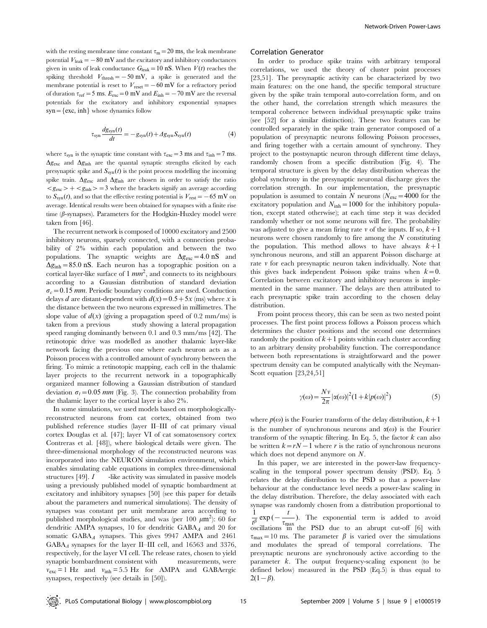with the resting membrane time constant  $\tau_m=20$  ms, the leak membrane potential  $V_{\text{leak}} = -80$  mV and the excitatory and inhibitory conductances given in units of leak conductance  $G_{\text{leak}} = 10 \text{ nS}$ . When  $V(t)$  reaches the spiking threshold  $V_{\text{thresh}} = -50 \text{ mV}$ , a spike is generated and the membrane potential is reset to  $V_{\text{reset}} = -60 \text{ mV}$  for a refractory period of duration  $\tau_{ref} = 5$  ms.  $E_{exc} = 0$  mV and  $E_{inh} = -70$  mV are the reversal potentials for the excitatory and inhibitory exponential synapses  $syn = \{exc, inh\}$  whose dynamics follow

$$
\tau_{syn}\frac{dg_{syn}(t)}{dt} = -g_{syn}(t) + \Delta g_{syn} S_{syn}(t)
$$
\n(4)

where  $\tau_{syn}$  is the synaptic time constant with  $\tau_{exc}=3$  ms and  $\tau_{inh}=7$  ms.  $\Delta g_{\text{exc}}$  and  $\Delta g_{\text{inh}}$  are the quantal synaptic strengths elicited by each presynaptic spike and  $S_{syn}(t)$  is the point process modelling the incoming spike train.  $\Delta g_{\text{exc}}$  and  $\Delta g_{\text{inh}}$  are chosen in order to satisfy the ratio  $\langle g_{\rm exc}\rangle + \langle g_{\rm inh}\rangle = 3$  where the brackets signify an average according to  $S_{syn}(t)$ , and so that the effective resting potential is  $V_{rest} = -65$  mV on average. Identical results were been obtained for synapses with a finite rise time  $(\beta$ -synapses). Parameters for the Hodgkin-Huxley model were taken from [46].

The recurrent network is composed of 10000 excitatory and 2500 inhibitory neurons, sparsely connected, with a connection probability of 2% within each population and between the two populations. The synaptic weights are  $\Delta g_{\text{exc}} = 4.0 \text{ nS}$  and  $\Delta g_{\text{inh}} = 85.0$  nS. Each neuron has a topographic position on a cortical layer-like surface of  $1 \text{ mm}^2$ , and connects to its neighbours according to a Gaussian distribution of standard deviation  $\sigma_c$  = 0.15 mm. Periodic boundary conditions are used. Conduction delays d are distant-dependent with  $d(x)=0.5+5x$  (ms) where x is the distance between the two neurons expressed in millimetres. The slope value of  $d(x)$  (giving a propagation speed of 0.2 mm/ms) is taken from a previous study showing a lateral propagation speed ranging dominantly between 0.1 and 0.3 mm/ms [42]. The retinotopic drive was modelled as another thalamic layer-like network facing the previous one where each neuron acts as a Poisson process with a controlled amount of synchrony between the firing. To mimic a retinotopic mapping, each cell in the thalamic layer projects to the recurrent network in a topographically organized manner following a Gaussian distribution of standard deviation  $\sigma_t$  = 0.05 mm (Fig. 3). The connection probability from the thalamic layer to the cortical layer is also 2%.

In some simulations, we used models based on morphologicallyreconstructed neurons from cat cortex, obtained from two published reference studies (layer II–III of cat primary visual cortex Douglas et al. [47]; layer VI of cat somatosensory cortex Contreras et al. [48]), where biological details were given. The three-dimensional morphology of the reconstructed neurons was incorporated into the NEURON simulation environment, which enables simulating cable equations in complex three-dimensional structures [49].  $I_1$  -like activity was simulated in passive models using a previously published model of synaptic bombardment at excitatory and inhibitory synapses [50] (see this paper for details about the parameters and numerical simulations). The density of synapses was constant per unit membrane area according to published morphological studies, and was (per 100  $\mu$ m<sup>2</sup>): 60 for dendritic AMPA synapses, 10 for dendritic  $GABA_A$  and 20 for somatic  $GABA_A$  synapses. This gives 9947 AMPA and 2461  $GABA_A$  synapses for the layer II–III cell, and 16563 and 3376, respectively, for the layer VI cell. The release rates, chosen to yield synaptic bombardment consistent with in easurements, were  $v_{\text{exc}} = 1$  Hz and  $v_{\text{inh}} = 5.5$  Hz for AMPA and GABAergic synapses, respectively (see details in [50]).

#### Correlation Generator

In order to produce spike trains with arbitrary temporal correlations, we used the theory of cluster point processes [23,51]. The presynaptic activity can be characterized by two main features: on the one hand, the specific temporal structure given by the spike train temporal auto-correlation form, and on the other hand, the correlation strength which measures the temporal coherence between individual presynaptic spike trains (see [52] for a similar distinction). These two features can be controlled separately in the spike train generator composed of a population of presynaptic neurons following Poisson processes, and firing together with a certain amount of synchrony. They project to the postsynaptic neuron through different time delays, randomly chosen from a specific distribution (Fig. 4). The temporal structure is given by the delay distribution whereas the global synchrony in the presynaptic neuronal discharge gives the correlation strength. In our implementation, the presynaptic population is assumed to contain N neurons ( $N_{\rm exc}=4000$  for the excitatory population and  $N_{\text{inh}} = 1000$  for the inhibitory population, except stated otherwise); at each time step it was decided randomly whether or not some neurons will fire. The probability was adjusted to give a mean firing rate v of the inputs. If so,  $k+1$ neurons were chosen randomly to fire among the  $N$  constituting the population. This method allows to have always  $k+1$ synchronous neurons, and still an apparent Poisson discharge at rate  $\nu$  for each presynaptic neuron taken individually. Note that this gives back independent Poisson spike trains when  $k=0$ . Correlation between excitatory and inhibitory neurons is implemented in the same manner. The delays are then attributed to each presynaptic spike train according to the chosen delay distribution.

From point process theory, this can be seen as two nested point processes. The first point process follows a Poisson process which determines the cluster positions and the second one determines randomly the position of  $k+1$  points within each cluster according to an arbitrary density probability function. The correspondance between both representations is straightforward and the power spectrum density can be computed analytically with the Neyman-Scott equation [23,24,51]

$$
\gamma(\omega) = \frac{Nv}{2\pi} |\alpha(\omega)|^2 (1 + k|p(\omega)|^2)
$$
 (5)

where  $p(\omega)$  is the Fourier transform of the delay distribution,  $k+1$ is the number of synchronous neurons and  $\alpha(\omega)$  is the Fourier transform of the synaptic filtering. In Eq. 5, the factor  $k$  can also be written  $k=rN-1$  where r is the ratio of synchronous neurons which does not depend anymore on N.

In this paper, we are interested in the power-law frequencyscaling in the temporal power spectrum density (PSD). Eq. 5 relates the delay distribution to the PSD so that a power-law behaviour at the conductance level needs a power-law scaling in the delay distribution. Therefore, the delay associated with each synapse was randomly chosen from a distribution proportional to  $\frac{1}{t^{\beta}} \exp(-\frac{t}{\tau_{\text{max}}}$ . The exponential term is added to avoid oscillations in the PSD due to an abrupt cut-off [6] with  $\tau_{\text{max}} = 10$  ms. The parameter  $\beta$  is varied over the simulations and modulates the spread of temporal correlations. The presynaptic neurons are synchronously active according to the parameter  $k$ . The output frequency-scaling exponent (to be defined below) measured in the PSD (Eq.5) is thus equal to  $2(1-\beta)$ .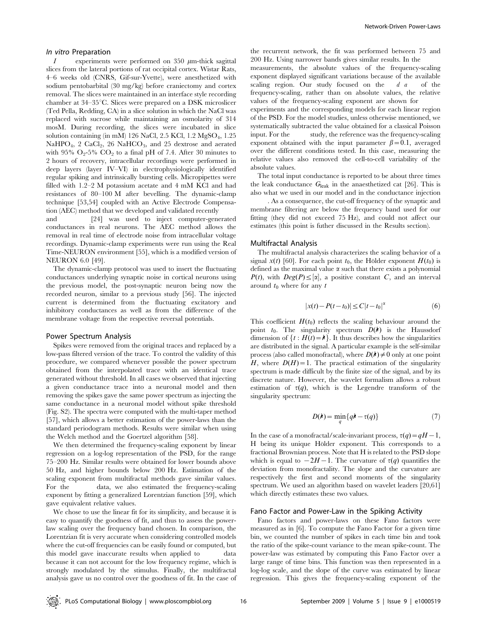## In vitro Preparation

I experiments were performed on 350  $\mu$ m-thick sagittal slices from the lateral portions of rat occipital cortex. Wistar Rats, 4–6 weeks old (CNRS, Gif-sur-Yvette), were anesthetized with sodium pentobarbital (30 mg/kg) before craniectomy and cortex removal. The slices were maintained in an interface style recording chamber at  $34-35^{\circ}$ C. Slices were prepared on a DSK microslicer (Ted Pella, Redding, CA) in a slice solution in which the NaCl was replaced with sucrose while maintaining an osmolarity of 314 mosM. During recording, the slices were incubated in slice solution containing (in mM) 126 NaCl, 2.5 KCl, 1.2  $MgSO<sub>4</sub>$ , 1.25 NaHPO<sub>4</sub>, 2 CaCl<sub>2</sub>, 26 NaHCO<sub>3</sub>, and 25 dextrose and aerated with 95%  $O_2$ -5%  $CO_2$  to a final pH of 7.4. After 30 minutes to 2 hours of recovery, intracellular recordings were performed in deep layers (layer IV–VI) in electrophysiologically identified regular spiking and intrinsically bursting cells. Micropipettes were filled with 1.2–2 M potassium acetate and 4 mM KCl and had resistances of 80–100 M after bevelling. The dynamic-clamp technique [53,54] coupled with an Active Electrode Compensation (AEC) method that we developed and validated recently

and [24] was used to inject computer-generated conductances in real neurons. The AEC method allows the removal in real time of electrode noise from intracellular voltage recordings. Dynamic-clamp experiments were run using the Real Time-NEURON environment [55], which is a modified version of NEURON 6.0 [49].

The dynamic-clamp protocol was used to insert the fluctuating conductances underlying synaptic noise in cortical neurons using the previous model, the post-synaptic neuron being now the recorded neuron, similar to a previous study [56]. The injected current is determined from the fluctuating excitatory and inhibitory conductances as well as from the difference of the membrane voltage from the respective reversal potentials.

# Power Spectrum Analysis

Spikes were removed from the original traces and replaced by a low-pass filtered version of the trace. To control the validity of this procedure, we compared whenever possible the power spectrum obtained from the interpolated trace with an identical trace generated without threshold. In all cases we observed that injecting a given conductance trace into a neuronal model and then removing the spikes gave the same power spectrum as injecting the same conductance in a neuronal model without spike threshold (Fig. S2). The spectra were computed with the multi-taper method [57], which allows a better estimation of the power-laws than the standard periodogram methods. Results were similar when using the Welch method and the Goertzel algorithm [58].

We then determined the frequency-scaling exponent by linear regression on a log-log representation of the PSD, for the range 75–200 Hz. Similar results were obtained for lower bounds above 50 Hz, and higher bounds below 200 Hz. Estimation of the scaling exponent from multifractal methods gave similar values. For the data, we also estimated the frequency-scaling exponent by fitting a generalized Lorentzian function [59], which gave equivalent relative values.

We chose to use the linear fit for its simplicity, and because it is easy to quantify the goodness of fit, and thus to assess the powerlaw scaling over the frequency band chosen. In comparison, the Lorentzian fit is very accurate when considering controlled models where the cut-off frequencies can be easily found or computed, but this model gave inaccurate results when applied to data because it can not account for the low frequency regime, which is strongly modulated by the stimulus. Finally, the multifractal analysis gave us no control over the goodness of fit. In the case of

the recurrent network, the fit was performed between 75 and 200 Hz. Using narrower bands gives similar results. In the

measurements, the absolute values of the frequency-scaling exponent displayed significant variations because of the available scaling region. Our study focused on the  $d \ a$  of the frequency-scaling, rather than on absolute values, the relative values of the frequency-scaling exponent are shown for

experiments and the corresponding models for each linear region of the PSD. For the model studies, unless otherwise mentioned, we systematically subtracted the value obtained for a classical Poisson input. For the study, the reference was the frequency-scaling exponent obtained with the input parameter  $\beta = 0.1$ , averaged over the different conditions tested. In this case, measuring the relative values also removed the cell-to-cell variability of the absolute values.

The total input conductance is reported to be about three times the leak conductance  $G_{\text{leak}}$  in the anaesthetized cat [26]. This is also what we used in our model and in the conductance injection

. As a consequence, the cut-off frequency of the synaptic and membrane filtering are below the frequency band used for our fitting (they did not exceed 75 Hz), and could not affect our estimates (this point is futher discussed in the Results section).

## Multifractal Analysis

The multifractal analysis characterizes the scaling behavior of a signal  $x(t)$  [60]. For each point  $t_0$ , the Hölder exponent  $H(t_0)$  is defined as the maximal value  $\alpha$  such that there exists a polynomial  $P(t)$ , with  $Deg(P) \leq |\alpha|$ , a positive constant C, and an interval around  $t_0$  where for any  $t$ 

$$
|x(t) - P(t - t_0)| \le C|t - t_0|^{\alpha}
$$
 (6)

This coefficient  $H(t_0)$  reflects the scaling behaviour around the point  $t_0$ . The singularity spectrum  $D(h)$  is the Haussdorf dimension of  $\{t : H(t) = h\}$ . It thus describes how the singularities are distributed in the signal. A particular example is the self-similar process (also called monofractal), where  $D(h) \neq 0$  only at one point H, where  $D(H)=1$ . The practical estimation of the singularity spectrum is made difficult by the finite size of the signal, and by its discrete nature. However, the wavelet formalism allows a robust estimation of  $\tau(q)$ , which is the Legendre transform of the singularity spectrum:

$$
D(\hbar) = \min_{q} \{ q\hbar - \tau(q) \}
$$
 (7)

In the case of a monofractal/scale-invariant process,  $\tau(q) = qH - 1$ , H being its unique Hölder exponent. This corresponds to a fractional Brownian process. Note that H is related to the PSD slope which is equal to  $-2H-1$ . The curvature of  $\tau(q)$  quantifies the deviation from monofractality. The slope and the curvature are respectively the first and second moments of the singularity spectrum. We used an algorithm based on wavelet leaders [20,61] which directly estimates these two values.

## Fano Factor and Power-Law in the Spiking Activity

Fano factors and power-laws on these Fano factors were measured as in [6]. To compute the Fano Factor for a given time bin, we counted the number of spikes in each time bin and took the ratio of the spike-count variance to the mean spike-count. The power-law was estimated by computing this Fano Factor over a large range of time bins. This function was then represented in a log-log scale, and the slope of the curve was estimated by linear regression. This gives the frequency-scaling exponent of the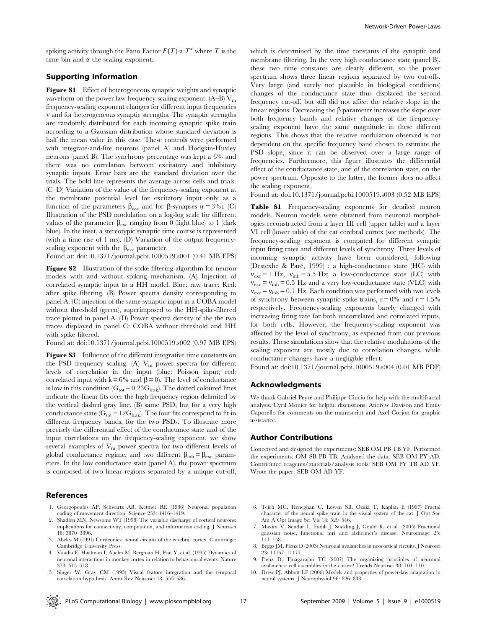spiking activity through the Fano Factor  $F(T) \propto T^{\alpha}$  where T is the time bin and  $\alpha$  the scaling exponent.

# Supporting Information

Figure S1 Effect of heterogeneous synaptic weights and synaptic waveform on the power law frequency scaling exponent.  $(A-B) V_m$ frequency-scaling exponent changes for different input frequencies n and for heterogeneous synaptic strengths. The synaptic strengths are randomly distributed for each incoming synaptic spike train according to a Gaussian distribution whose standard deviation is half the mean value in this case. These controls were performed with integrate-and-fire neurons (panel A) and Hodgkin-Huxley neurons (panel B). The synchrony percentage was kept a 6% and there was no correlation between excitatory and inhibitory synaptic inputs. Error bars are the standard deviation over the trials. The bold line represents the average across cells and trials. (C–D) Variation of the value of the frequency-scaling exponent at the membrane potential level for excitatory input only as a function of the parameters  $\beta_{\rm exc}$  and for  $\beta$ -synapses (r = 3%). (C) Illustration of the PSD modulation on a log-log scale for different values of the parameter  $\beta_{\text{exc}}$  ranging from 0 (light blue) to 1 (dark blue). In the inset, a stereotypic synaptic time course is represented (with a time rise of 1 ms). (D) Variation of the output frequencyscaling exponent with the  $\beta_{\text{exc}}$  parameter.

Found at: doi:10.1371/journal.pcbi.1000519.s001 (0.41 MB EPS)

Figure S2 Illustration of the spike filtering algorithm for neuron models with and without spiking mechanism. (A) Injection of correlated synaptic input to a HH model. Blue: raw trace; Red: after spike filtering. (B) Power spectra density corresponding to panel A. (C) injection of the same synaptic input in a COBA model without threshold (green), superimposed to the HH-spike-filtered trace plotted in panel A. (D) Power spectra density of the the two traces displayed in panel C: COBA without threshold and HH with spike filtered.

Found at: doi:10.1371/journal.pcbi.1000519.s002 (0.97 MB EPS)

Figure S3 Influence of the different integrative time constants on the PSD frequency scaling. (A)  $V_m$  power spectra for different levels of correlation in the input (blue: Poisson input; red: correlated input with  $k = 6\%$  and  $\beta = 0$ ). The level of conductance is low in this condition ( $G_{\text{tot}} = 0.23 G_{\text{leak}}$ ). The dotted coloured lines indicate the linear fits over the high frequency region delimited by the vertical dashed gray line. (B) same PSD, but for a very high conductance state (G<sub>tot</sub> =  $12G_{\rm leak}$ ). The four fits correspond to fit in different frequency bands, for the two PSDs. To illustrate more precisely the differential effect of the conductance state and of the input correlations on the frequency-scaling exponent, we show several examples of  $V_m$  power spectra for two different levels of global conductance regime, and two different  $\beta_{\text{inh}} = \beta_{\text{exc}}$  parameters. In the low conductance state (panel A), the power spectrum is composed of two linear regions separated by a unique cut-off,

## References

- 1. Georgopoulos AP, Schwartz AB, Kettner RE (1986) Neuronal population coding of movement direction. Science 233: 1416–1419.
- 2. Shadlen MN, Newsome WT (1998) The variable discharge of cortical neurons: implications for connectivity, computation, and information coding. J Neurosci 18: 3870–3896.
- Abeles M (1991) Corticonics: neural circuits of the cerebral cortex. Cambridge: Cambridge University Press.
- 4. Vaadia E, Haalman I, Abeles M, Bergman H, Prut Y, et al. (1995) Dynamics of neuronal interactions in monkey cortex in relation to behavioural events. Nature 373: 515–518.
- 5. Singer W, Gray CM (1995) Visual feature integration and the temporal correlation hypothesis. Annu Rev Neurosci 18: 555–586.

which is determined by the time constants of the synaptic and membrane filtering. In the very high conductance state (panel B), these two time constants are clearly different, so the power spectrum shows three linear regions separated by two cut-offs. Very large (and surely not plausible in biological conditions) changes of the conductance state thus displaced the second frequency cut-off, but still did not affect the relative slope in the linear regions. Decreasing the  $\beta$  parameter increases the slope over both frequency bands and relative changes of the frequencyscaling exponent have the same magnitude in these different regions. This shows that the relative modulation observed is not dependent on the specific frequency band chosen to estimate the PSD slope, since it can be observed over a large range of frequencies. Furthermore, this figure illustrates the differential effect of the conductance state, and of the correlation state, on the power spectrum. Opposite to the latter, the former does no affect the scaling exponent.

Found at: doi:10.1371/journal.pcbi.1000519.s003 (0.52 MB EPS)

Table S1 Frequency-scaling exponents for detailed neuron models. Neuron models were obtained from neuronal morphologies reconstructed from a layer III cell (upper table) and a layer VI cell (lower table) of the cat cerebral cortex (see methods). The frequency-scaling exponent is computed for different synaptic input firing rates and different levels of synchrony. Three levels of incoming synaptic activity have been considered, following (Destexhe & Paré, 1999) : a high-conductance state (HC) with  $v_{\rm exc} = 1$  Hz,  $v_{\rm inh} = 5.5$  Hz; a low-conductance state (LC) with  $v_{\rm exc} = v_{\rm inh} = 0.5$  Hz and a very low-conductance state (VLC) with  $v_{\rm exc} = v_{\rm inh} = 0.1$  Hz. Each condition was performed with two levels of synchrony between synaptic spike trains,  $r = 0\%$  and  $r = 1.5\%$ respectively. Frequency-scaling exponents barely changed with increasing firing rate for both uncorrelated and correlated inputs, for both cells. However, the frequency-scaling exponent was affected by the level of synchrony, as expected from our previous results. These simulations show that the relative modulations of the scaling exponent are mostly due to correlation changes, while conductance changes have a negligible effect.

Found at: doi:10.1371/journal.pcbi.1000519.s004 (0.01 MB PDF)

# Acknowledgments

We thank Gabriel Peyré and Philippe Ciuciu for help with the multifractal analysis, Cyril Monier for helpful discussions, Andrew Davison and Emily Caporello for comments on the manuscript and Axel Corjon for graphic assistance.

# Author Contributions

Conceived and designed the experiments: SEB OM PB TB YF. Performed the experiments: OM SB PB TB. Analyzed the data: SEB OM PY AD. Contributed reagents/materials/analysis tools: SEB OM PY TB AD YF. Wrote the paper: SEB OM AD YF.

- 6. Teich MC, Heneghan C, Lowen SB, Ozaki T, Kaplan E (1997) Fractal character of the neural spike train in the visual system of the cat. J Opt Soc Am A Opt Image Sci Vis 14: 529–546.
- 7. Maxim V, Sendur L, Fadili J, Suckling J, Gould R, et al. (2005) Fractional gaussian noise, functional mri and alzheimer's disease. Neuroimage 25: 141–158.
- 8. Beggs JM, Plenz D (2003) Neuronal avalanches in neocortical circuits. J Neurosci 23: 11167–11177.
- 9. Plenz D, Thiagarajan TC (2007) The organizing principles of neuronal avalanches: cell assemblies in the cortex? Trends Neurosci 30: 101–110.
- 10. Drew PJ, Abbott LF (2006) Models and properties of power-law adaptation in neural systems. J Neurophysiol 96: 826–833.